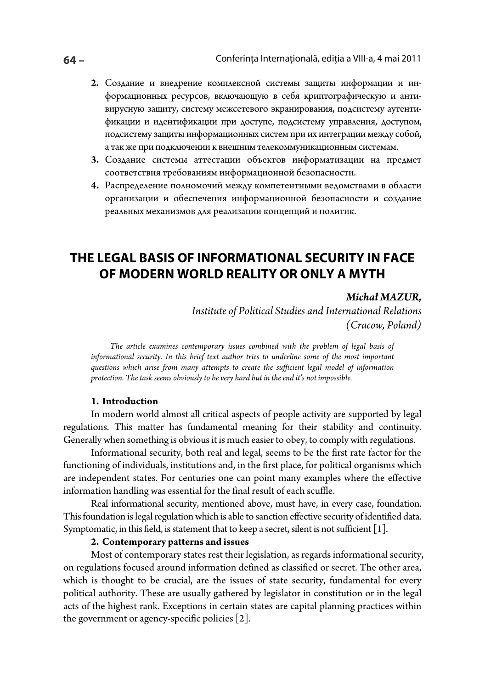- 2. Создание и внедрение комплексной системы защиты информации и информационных ресурсов, включающую в себя криптографическую и антивирусную защиту, систему межсетевого экранирования, подсистему аутентификации и идентификации при доступе, подсистему управления, доступом, подсистему защиты информационных систем при их интеграции между собой, а так же при подключении к внешним телекоммуникационным системам.
- 3. Создание системы аттестации объектов информатизации на предмет соответствия требованиям информационной безопасности.
- 4. Распределение полномочий между компетентными ведомствами в области организации и обеспечения информационной безопасности и создание реальных механизмов для реализации концепций и политик.

# THE LEGAL BASIS OF INFORMATIONAL SECURITY IN FACE OF MODERN WORLD REALITY OR ONLY A MYTH

# Michał MAZUR.

Institute of Political Studies and International Relations (Cracow, Poland)

The article examines contemporary issues combined with the problem of legal basis of informational security. In this brief text author tries to underline some of the most important questions which arise from many attempts to create the sufficient legal model of information protection. The task seems obviously to be very hard but in the end it's not impossible.

# 1. Introduction

In modern world almost all critical aspects of people activity are supported by legal regulations. This matter has fundamental meaning for their stability and continuity. Generally when something is obvious it is much easier to obey, to comply with regulations.

Informational security, both real and legal, seems to be the first rate factor for the functioning of individuals, institutions and, in the first place, for political organisms which are independent states. For centuries one can point many examples where the effective information handling was essential for the final result of each scuffle.

Real informational security, mentioned above, must have, in every case, foundation. This foundation is legal regulation which is able to sanction effective security of identified data. Symptomatic, in this field, is statement that to keep a secret, silent is not sufficient  $[1]$ .

# 2. Contemporary patterns and issues

Most of contemporary states rest their legislation, as regards informational security, on regulations focused around information defined as classified or secret. The other area, which is thought to be crucial, are the issues of state security, fundamental for every political authority. These are usually gathered by legislator in constitution or in the legal acts of the highest rank. Exceptions in certain states are capital planning practices within the government or agency-specific policies  $[2]$ .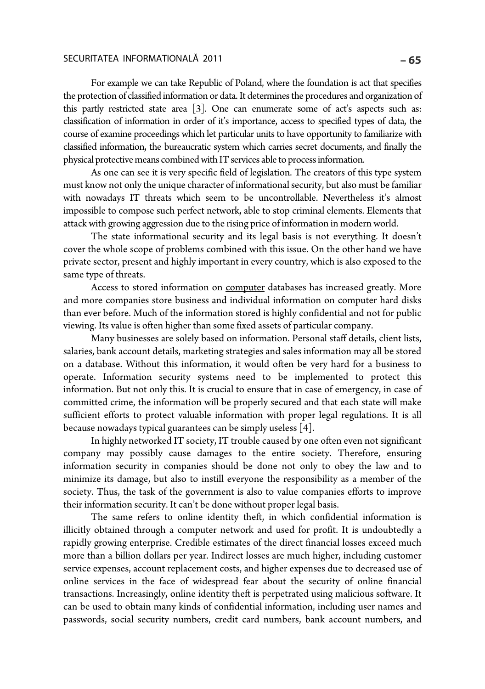# SECURITATEA INFORMATIONALĂ 2011 **– 65**

For example we can take Republic of Poland, where the foundation is act that specifies the protection of classified information or data. It determines the procedures and organization of this partly restricted state area [3]. One can enumerate some of act's aspects such as: classification of information in order of it's importance, access to specified types of data, the course of examine proceedings which let particular units to have opportunity to familiarize with classified information, the bureaucratic system which carries secret documents, and finally the physical protective means combined with IT services able to process information.

As one can see it is very specific field of legislation. The creators of this type system must know not only the unique character of informational security, but also must be familiar with nowadays IT threats which seem to be uncontrollable. Nevertheless it's almost impossible to compose such perfect network, able to stop criminal elements. Elements that attack with growing aggression due to the rising price of information in modern world.

The state informational security and its legal basis is not everything. It doesn't cover the whole scope of problems combined with this issue. On the other hand we have private sector, present and highly important in every country, which is also exposed to the same type of threats.

Access to stored information on computer databases has increased greatly. More and more companies store business and individual information on computer hard disks than ever before. Much of the information stored is highly confidential and not for public viewing. Its value is often higher than some fixed assets of particular company.

Many businesses are solely based on information. Personal staff details, client lists, salaries, bank account details, marketing strategies and sales information may all be stored on a database. Without this information, it would often be very hard for a business to operate. Information security systems need to be implemented to protect this information. But not only this. It is crucial to ensure that in case of emergency, in case of committed crime, the information will be properly secured and that each state will make sufficient efforts to protect valuable information with proper legal regulations. It is all because nowadays typical guarantees can be simply useless [4].

In highly networked IT society, IT trouble caused by one often even not significant company may possibly cause damages to the entire society. Therefore, ensuring information security in companies should be done not only to obey the law and to minimize its damage, but also to instill everyone the responsibility as a member of the society. Thus, the task of the government is also to value companies efforts to improve their information security. It can't be done without proper legal basis.

The same refers to online identity theft, in which confidential information is illicitly obtained through a computer network and used for profit. It is undoubtedly a rapidly growing enterprise. Credible estimates of the direct financial losses exceed much more than a billion dollars per year. Indirect losses are much higher, including customer service expenses, account replacement costs, and higher expenses due to decreased use of online services in the face of widespread fear about the security of online financial transactions. Increasingly, online identity theft is perpetrated using malicious software. It can be used to obtain many kinds of confidential information, including user names and passwords, social security numbers, credit card numbers, bank account numbers, and